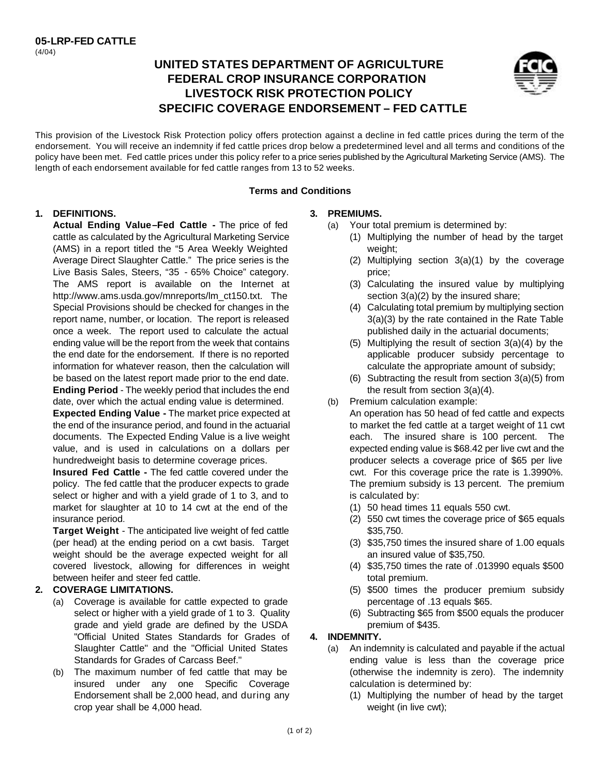# **UNITED STATES DEPARTMENT OF AGRICULTURE FEDERAL CROP INSURANCE CORPORATION LIVESTOCK RISK PROTECTION POLICY SPECIFIC COVERAGE ENDORSEMENT – FED CATTLE**



This provision of the Livestock Risk Protection policy offers protection against a decline in fed cattle prices during the term of the endorsement. You will receive an indemnity if fed cattle prices drop below a predetermined level and all terms and conditions of the policy have been met. Fed cattle prices under this policy refer to a price series published by the Agricultural Marketing Service (AMS). The length of each endorsement available for fed cattle ranges from 13 to 52 weeks.

#### **Terms and Conditions**

#### **1. DEFINITIONS.**

**Actual Ending Value–Fed Cattle -** The price of fed cattle as calculated by the Agricultural Marketing Service (AMS) in a report titled the "5 Area Weekly Weighted Average Direct Slaughter Cattle." The price series is the Live Basis Sales, Steers, "35 - 65% Choice" category. The AMS report is available on the Internet at http://www.ams.usda.gov/mnreports/lm\_ct150.txt. The Special Provisions should be checked for changes in the report name, number, or location. The report is released once a week. The report used to calculate the actual ending value will be the report from the week that contains the end date for the endorsement. If there is no reported information for whatever reason, then the calculation will be based on the latest report made prior to the end date. **Ending Period** - The weekly period that includes the end

date, over which the actual ending value is determined.

**Expected Ending Value -** The market price expected at the end of the insurance period, and found in the actuarial documents. The Expected Ending Value is a live weight value, and is used in calculations on a dollars per hundredweight basis to determine coverage prices.

**Insured Fed Cattle -** The fed cattle covered under the policy. The fed cattle that the producer expects to grade select or higher and with a yield grade of 1 to 3, and to market for slaughter at 10 to 14 cwt at the end of the insurance period.

**Target Weight** - The anticipated live weight of fed cattle (per head) at the ending period on a cwt basis. Target weight should be the average expected weight for all covered livestock, allowing for differences in weight between heifer and steer fed cattle.

## **2. COVERAGE LIMITATIONS.**

- (a) Coverage is available for cattle expected to grade select or higher with a yield grade of 1 to 3. Quality grade and yield grade are defined by the USDA "Official United States Standards for Grades of Slaughter Cattle" and the "Official United States Standards for Grades of Carcass Beef."
- (b) The maximum number of fed cattle that may be insured under any one Specific Coverage Endorsement shall be 2,000 head, and during any crop year shall be 4,000 head.

## **3. PREMIUMS.**

- (a) Your total premium is determined by:
	- (1) Multiplying the number of head by the target weight:
		- (2) Multiplying section 3(a)(1) by the coverage price;
		- (3) Calculating the insured value by multiplying section 3(a)(2) by the insured share;
		- (4) Calculating total premium by multiplying section 3(a)(3) by the rate contained in the Rate Table published daily in the actuarial documents;
		- (5) Multiplying the result of section 3(a)(4) by the applicable producer subsidy percentage to calculate the appropriate amount of subsidy;
	- (6) Subtracting the result from section 3(a)(5) from the result from section 3(a)(4).
- (b) Premium calculation example:
	- An operation has 50 head of fed cattle and expects to market the fed cattle at a target weight of 11 cwt each. The insured share is 100 percent. The expected ending value is \$68.42 per live cwt and the producer selects a coverage price of \$65 per live cwt. For this coverage price the rate is 1.3990%. The premium subsidy is 13 percent. The premium is calculated by:
		- (1) 50 head times 11 equals 550 cwt.
		- (2) 550 cwt times the coverage price of \$65 equals \$35,750.
		- (3) \$35,750 times the insured share of 1.00 equals an insured value of \$35,750.
		- (4) \$35,750 times the rate of .013990 equals \$500 total premium.
		- (5) \$500 times the producer premium subsidy percentage of .13 equals \$65.
	- (6) Subtracting \$65 from \$500 equals the producer premium of \$435.

## **4. INDEMNITY.**

- (a) An indemnity is calculated and payable if the actual ending value is less than the coverage price (otherwise the indemnity is zero). The indemnity calculation is determined by:
	- (1) Multiplying the number of head by the target weight (in live cwt);